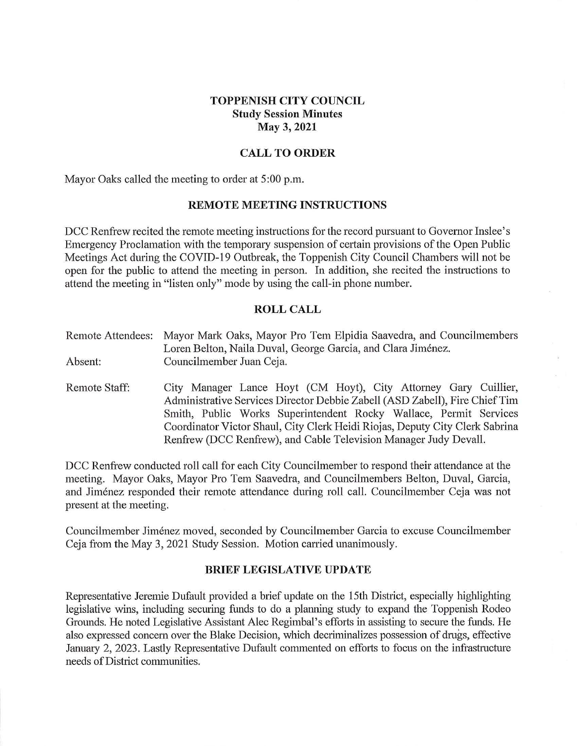## **TOPPENISH CITY COUNCIL Study Session Minutes May 3, 2021**

## **CALL TO ORDER**

Mayor Oaks called the meeting to order at 5:00 p.m.

### **REMOTE MEETING INSTRUCTIONS**

DCC Renfrew recited the remote meeting instructions for the record pursuant to Governor Inslee's Emergency Proclamation with the temporary suspension of certain provisions of the Open Public Meetings Act during the COVID-19 Outbreak, the Toppenish City Council Chambers will not be open for the public to attend the meeting in person. In addition, she recited the instructions to attend the meeting in "listen only" mode by using the call-in phone number.

### **ROLL CALL**

Remote Attendees: Mayor Mark Oaks, Mayor Pro Tem Elpidia Saavedra, and Councilmembers Loren Belton, Naila Duval, George Garcia, and Clara Jiménez. Absent: Councilmember Juan Ceja.

Remote Staff: City Manager Lance Hoyt (CM Hoyt), City Attorney Gary Cuillier, Administrative Services Director Debbie Zabell (ASD Zabell), Fire Chief Tim Smith, Public Works Superintendent Rocky Wallace, Permit Services Coordinator Victor Shaul, City Clerk Heidi Riojas, Deputy City Clerk Sabrina Renfrew (DCC Renfrew), and Cable Television Manager Judy Devall.

DCC Renfrew conducted roll call for each City Councilmember to respond their attendance at the meeting. Mayor Oaks, Mayor Pro Tem Saavedra, and Councilmembers Belton, Duval, Garcia, and Jimenez responded their remote attendance during roll call. Councilmember Ceja was not present at the meeting.

Councilmember Jimenez moved, seconded by Councilmember Garcia to excuse Councilmember Ceja from the May 3, 2021 Study Session. Motion carried unanimously.

#### **BRIEF LEGISLATIVE UPDATE**

Representative Jeremie Dufault provided a brief update on the 15th District, especially highlighting legislative wins, including securing funds to do a planning study to expand the Toppenish Rodeo Grounds. He noted Legislative Assistant Alec Regimbal's efforts in assisting to secure the funds. He also expressed concern over the Blake Decision, which decriminalizes possession of drugs, effective January 2, 2023. Lastly Representative Dufault commented on efforts to focus on the infrastructure needs of District communities.